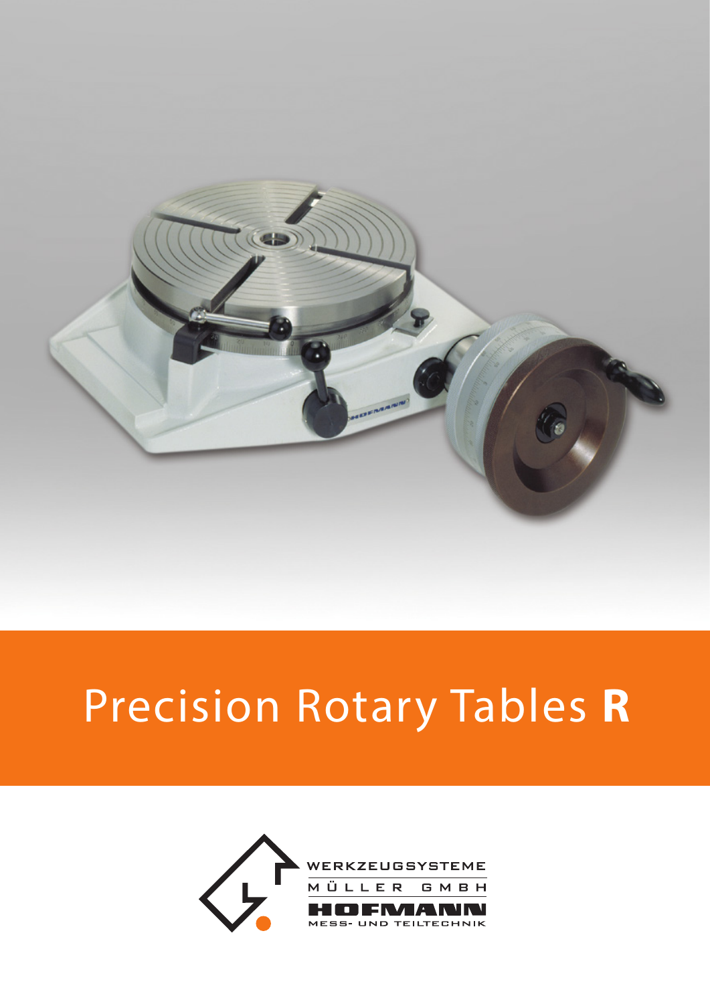

# Precision Rotary Tables **R**

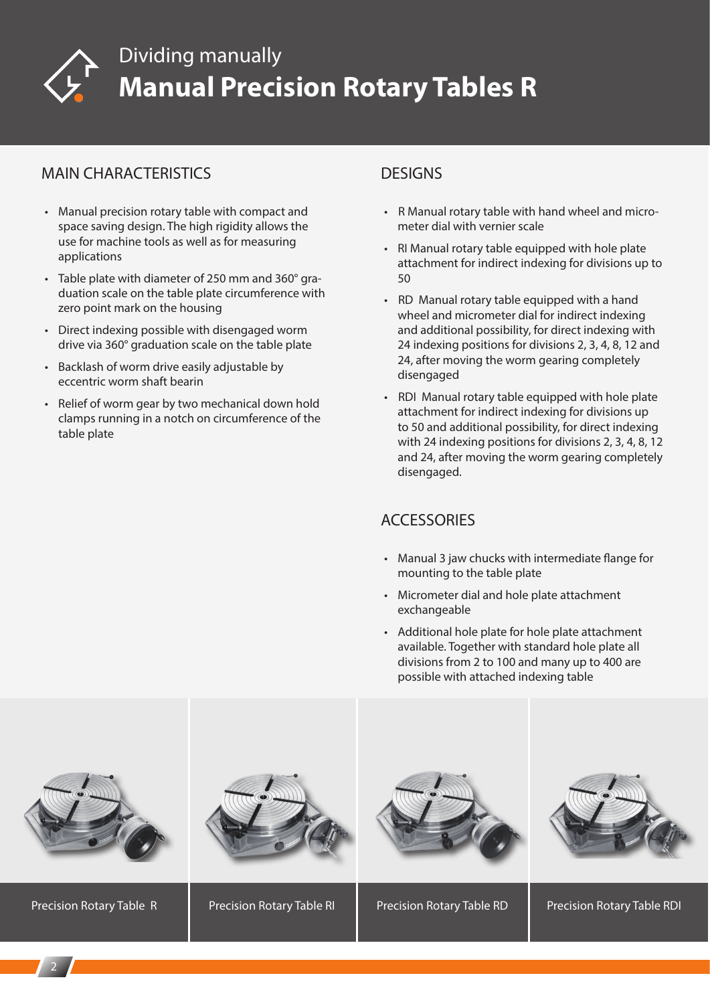

## Dividing manually **Manual Precision Rotary Tables R**

#### MAIN CHARACTERISTICS DESIGNS

- Manual precision rotary table with compact and space saving design. The high rigidity allows the use for machine tools as well as for measuring applications
- Table plate with diameter of 250 mm and 360° graduation scale on the table plate circumference with zero point mark on the housing
- Direct indexing possible with disengaged worm drive via 360° graduation scale on the table plate
- Backlash of worm drive easily adjustable by eccentric worm shaft bearin
- Relief of worm gear by two mechanical down hold clamps running in a notch on circumference of the table plate

- R Manual rotary table with hand wheel and micrometer dial with vernier scale
- RI Manual rotary table equipped with hole plate attachment for indirect indexing for divisions up to 50
- RD Manual rotary table equipped with a hand wheel and micrometer dial for indirect indexing and additional possibility, for direct indexing with 24 indexing positions for divisions 2, 3, 4, 8, 12 and 24, after moving the worm gearing completely disengaged
- RDI Manual rotary table equipped with hole plate attachment for indirect indexing for divisions up to 50 and additional possibility, for direct indexing with 24 indexing positions for divisions 2, 3, 4, 8, 12 and 24, after moving the worm gearing completely disengaged.

#### **ACCESSORIES**

- Manual 3 jaw chucks with intermediate flange for mounting to the table plate
- Micrometer dial and hole plate attachment exchangeable
- Additional hole plate for hole plate attachment available. Together with standard hole plate all divisions from 2 to 100 and many up to 400 are possible with attached indexing table

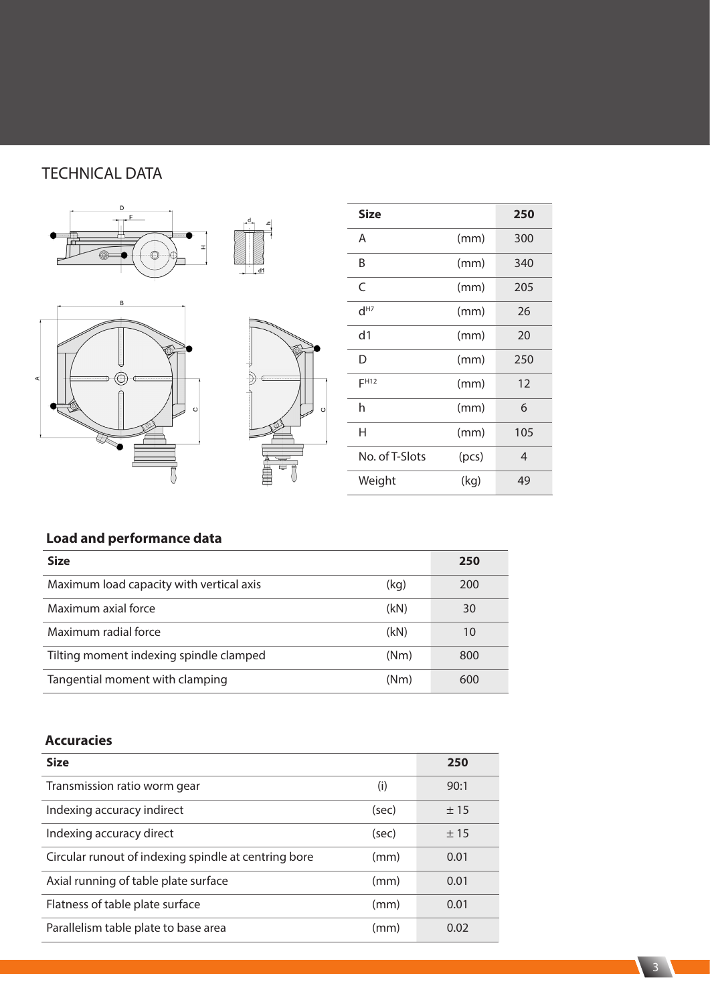#### TECHNICAL DATA



|       | 250 |
|-------|-----|
| (mm)  | 300 |
| (mm)  | 340 |
| (mm)  | 205 |
| (mm)  | 26  |
| (mm)  | 20  |
| (mm)  | 250 |
| (mm)  | 12  |
| (mm)  | 6   |
| (mm)  | 105 |
| (pcs) | 4   |
| (kg)  | 49  |
|       |     |

### **Load and performance data**

| <b>Size</b>                              |      | 250 |
|------------------------------------------|------|-----|
| Maximum load capacity with vertical axis | (kg) | 200 |
| Maximum axial force                      | (kN) | 30  |
| Maximum radial force                     | (kN) | 10  |
| Tilting moment indexing spindle clamped  | (Nm) | 800 |
| Tangential moment with clamping          | (Nm) | 600 |

#### **Accuracies**

| <b>Size</b>                                          |       | 250  |
|------------------------------------------------------|-------|------|
| Transmission ratio worm gear                         | (i)   | 90:1 |
| Indexing accuracy indirect                           | (sec) | ±15  |
| Indexing accuracy direct                             | (sec) | ±15  |
| Circular runout of indexing spindle at centring bore | (mm)  | 0.01 |
| Axial running of table plate surface                 | (mm)  | 0.01 |
| Flatness of table plate surface                      | (mm)  | 0.01 |
| Parallelism table plate to base area                 | (mm)  | 0.02 |